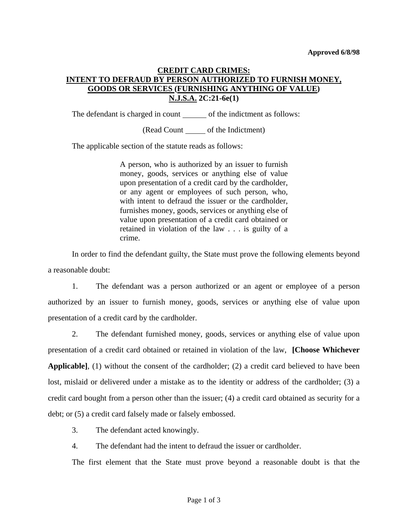## **CREDIT CARD CRIMES: INTENT TO DEFRAUD BY PERSON AUTHORIZED TO FURNISH MONEY, GOODS OR SERVICES (FURNISHING ANYTHING OF VALUE) N.J.S.A. 2C:21-6e(1)**

The defendant is charged in count of the indictment as follows:

(Read Count of the Indictment)

The applicable section of the statute reads as follows:

A person, who is authorized by an issuer to furnish money, goods, services or anything else of value upon presentation of a credit card by the cardholder, or any agent or employees of such person, who, with intent to defraud the issuer or the cardholder, furnishes money, goods, services or anything else of value upon presentation of a credit card obtained or retained in violation of the law . . . is guilty of a crime.

 In order to find the defendant guilty, the State must prove the following elements beyond a reasonable doubt:

 1. The defendant was a person authorized or an agent or employee of a person authorized by an issuer to furnish money, goods, services or anything else of value upon presentation of a credit card by the cardholder.

 2. The defendant furnished money, goods, services or anything else of value upon presentation of a credit card obtained or retained in violation of the law, **[Choose Whichever Applicable]**, (1) without the consent of the cardholder; (2) a credit card believed to have been lost, mislaid or delivered under a mistake as to the identity or address of the cardholder; (3) a credit card bought from a person other than the issuer; (4) a credit card obtained as security for a debt; or (5) a credit card falsely made or falsely embossed.

3. The defendant acted knowingly.

4. The defendant had the intent to defraud the issuer or cardholder.

The first element that the State must prove beyond a reasonable doubt is that the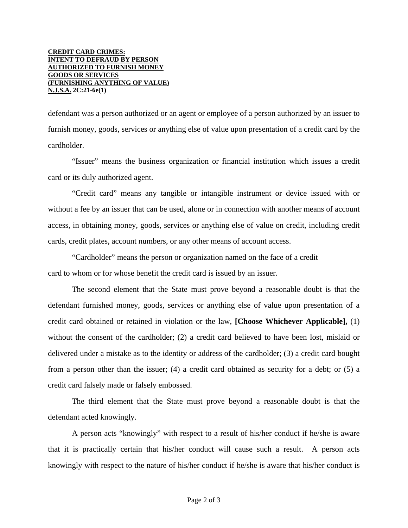## **CREDIT CARD CRIMES: INTENT TO DEFRAUD BY PERSON AUTHORIZED TO FURNISH MONEY GOODS OR SERVICES (FURNISHING ANYTHING OF VALUE) N.J.S.A. 2C:21-6e(1)**

defendant was a person authorized or an agent or employee of a person authorized by an issuer to furnish money, goods, services or anything else of value upon presentation of a credit card by the cardholder.

 "Issuer" means the business organization or financial institution which issues a credit card or its duly authorized agent.

 "Credit card" means any tangible or intangible instrument or device issued with or without a fee by an issuer that can be used, alone or in connection with another means of account access, in obtaining money, goods, services or anything else of value on credit, including credit cards, credit plates, account numbers, or any other means of account access.

 "Cardholder" means the person or organization named on the face of a credit card to whom or for whose benefit the credit card is issued by an issuer.

 The second element that the State must prove beyond a reasonable doubt is that the defendant furnished money, goods, services or anything else of value upon presentation of a credit card obtained or retained in violation or the law, **[Choose Whichever Applicable],** (1) without the consent of the cardholder; (2) a credit card believed to have been lost, mislaid or delivered under a mistake as to the identity or address of the cardholder; (3) a credit card bought from a person other than the issuer; (4) a credit card obtained as security for a debt; or (5) a credit card falsely made or falsely embossed.

 The third element that the State must prove beyond a reasonable doubt is that the defendant acted knowingly.

 A person acts "knowingly" with respect to a result of his/her conduct if he/she is aware that it is practically certain that his/her conduct will cause such a result. A person acts knowingly with respect to the nature of his/her conduct if he/she is aware that his/her conduct is